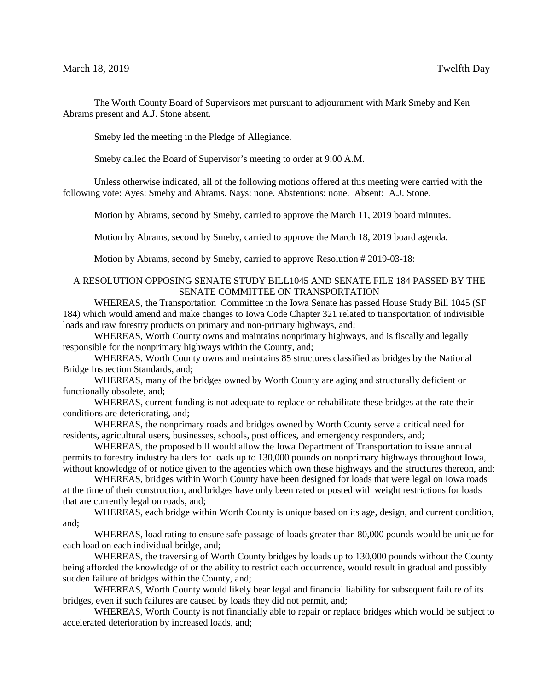The Worth County Board of Supervisors met pursuant to adjournment with Mark Smeby and Ken Abrams present and A.J. Stone absent.

Smeby led the meeting in the Pledge of Allegiance.

Smeby called the Board of Supervisor's meeting to order at 9:00 A.M.

Unless otherwise indicated, all of the following motions offered at this meeting were carried with the following vote: Ayes: Smeby and Abrams. Nays: none. Abstentions: none. Absent: A.J. Stone.

Motion by Abrams, second by Smeby, carried to approve the March 11, 2019 board minutes.

Motion by Abrams, second by Smeby, carried to approve the March 18, 2019 board agenda.

Motion by Abrams, second by Smeby, carried to approve Resolution # 2019-03-18:

## A RESOLUTION OPPOSING SENATE STUDY BILL1045 AND SENATE FILE 184 PASSED BY THE SENATE COMMITTEE ON TRANSPORTATION

WHEREAS, the Transportation Committee in the Iowa Senate has passed House Study Bill 1045 (SF 184) which would amend and make changes to Iowa Code Chapter 321 related to transportation of indivisible loads and raw forestry products on primary and non-primary highways, and;

WHEREAS, Worth County owns and maintains nonprimary highways, and is fiscally and legally responsible for the nonprimary highways within the County, and;

WHEREAS, Worth County owns and maintains 85 structures classified as bridges by the National Bridge Inspection Standards, and;

WHEREAS, many of the bridges owned by Worth County are aging and structurally deficient or functionally obsolete, and;

WHEREAS, current funding is not adequate to replace or rehabilitate these bridges at the rate their conditions are deteriorating, and;

WHEREAS, the nonprimary roads and bridges owned by Worth County serve a critical need for residents, agricultural users, businesses, schools, post offices, and emergency responders, and;

WHEREAS, the proposed bill would allow the Iowa Department of Transportation to issue annual permits to forestry industry haulers for loads up to 130,000 pounds on nonprimary highways throughout Iowa, without knowledge of or notice given to the agencies which own these highways and the structures thereon, and;

WHEREAS, bridges within Worth County have been designed for loads that were legal on Iowa roads at the time of their construction, and bridges have only been rated or posted with weight restrictions for loads that are currently legal on roads, and;

WHEREAS, each bridge within Worth County is unique based on its age, design, and current condition, and;

WHEREAS, load rating to ensure safe passage of loads greater than 80,000 pounds would be unique for each load on each individual bridge, and;

WHEREAS, the traversing of Worth County bridges by loads up to 130,000 pounds without the County being afforded the knowledge of or the ability to restrict each occurrence, would result in gradual and possibly sudden failure of bridges within the County, and;

WHEREAS, Worth County would likely bear legal and financial liability for subsequent failure of its bridges, even if such failures are caused by loads they did not permit, and;

WHEREAS, Worth County is not financially able to repair or replace bridges which would be subject to accelerated deterioration by increased loads, and;